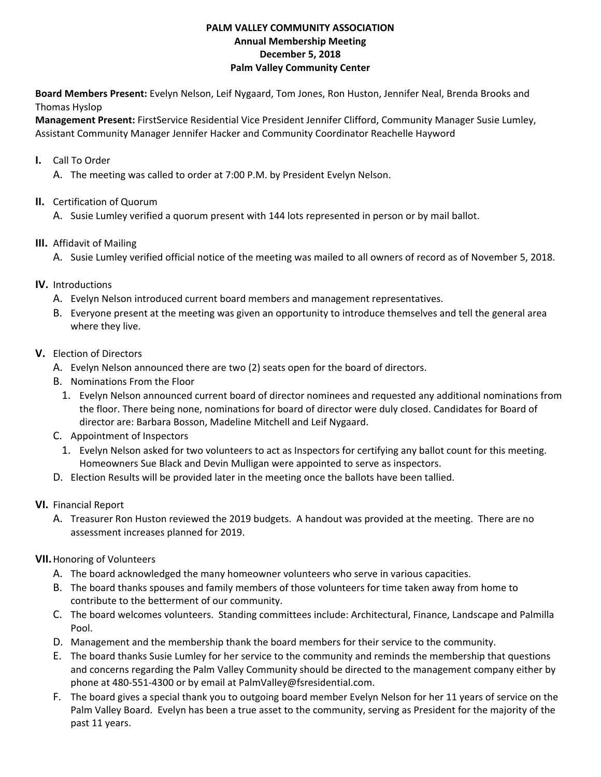## **PALM VALLEY COMMUNITY ASSOCIATION Annual Membership Meeting December 5, 2018 Palm Valley Community Center**

**Board Members Present:** Evelyn Nelson, Leif Nygaard, Tom Jones, Ron Huston, Jennifer Neal, Brenda Brooks and Thomas Hyslop

**Management Present:** FirstService Residential Vice President Jennifer Clifford, Community Manager Susie Lumley, Assistant Community Manager Jennifer Hacker and Community Coordinator Reachelle Hayword

- **I.** Call To Order
	- A. The meeting was called to order at 7:00 P.M. by President Evelyn Nelson.
- **II.** Certification of Quorum
	- A. Susie Lumley verified a quorum present with 144 lots represented in person or by mail ballot.
- **III.** Affidavit of Mailing
	- A. Susie Lumley verified official notice of the meeting was mailed to all owners of record as of November 5, 2018.
- **IV.** Introductions
	- A. Evelyn Nelson introduced current board members and management representatives.
	- B. Everyone present at the meeting was given an opportunity to introduce themselves and tell the general area where they live.
- **V.** Election of Directors
	- A. Evelyn Nelson announced there are two (2) seats open for the board of directors.
	- B. Nominations From the Floor
		- 1. Evelyn Nelson announced current board of director nominees and requested any additional nominations from the floor. There being none, nominations for board of director were duly closed. Candidates for Board of director are: Barbara Bosson, Madeline Mitchell and Leif Nygaard.
	- C. Appointment of Inspectors
	- 1. Evelyn Nelson asked for two volunteers to act as Inspectors for certifying any ballot count for this meeting. Homeowners Sue Black and Devin Mulligan were appointed to serve as inspectors.
	- D. Election Results will be provided later in the meeting once the ballots have been tallied.
- **VI.** Financial Report
	- A. Treasurer Ron Huston reviewed the 2019 budgets. A handout was provided at the meeting. There are no assessment increases planned for 2019.

## **VII.**Honoring of Volunteers

- A. The board acknowledged the many homeowner volunteers who serve in various capacities.
- B. The board thanks spouses and family members of those volunteers for time taken away from home to contribute to the betterment of our community.
- C. The board welcomes volunteers. Standing committees include: Architectural, Finance, Landscape and Palmilla Pool.
- D. Management and the membership thank the board members for their service to the community.
- E. The board thanks Susie Lumley for her service to the community and reminds the membership that questions and concerns regarding the Palm Valley Community should be directed to the management company either by phone at 480‐551‐4300 or by email at PalmValley@fsresidential.com.
- F. The board gives a special thank you to outgoing board member Evelyn Nelson for her 11 years of service on the Palm Valley Board. Evelyn has been a true asset to the community, serving as President for the majority of the past 11 years.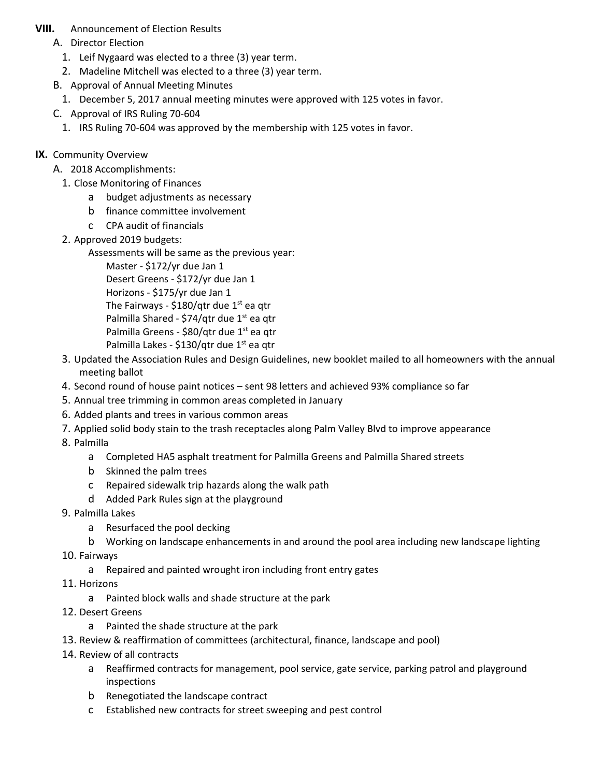## **VIII.** Announcement of Election Results

- A. Director Election
	- 1. Leif Nygaard was elected to a three (3) year term.
	- 2. Madeline Mitchell was elected to a three (3) year term.
- B. Approval of Annual Meeting Minutes
	- 1. December 5, 2017 annual meeting minutes were approved with 125 votes in favor.
- C. Approval of IRS Ruling 70‐604
	- 1. IRS Ruling 70‐604 was approved by the membership with 125 votes in favor.
- **IX.** Community Overview
	- A. 2018 Accomplishments:
		- 1. Close Monitoring of Finances
			- a budget adjustments as necessary
			- b finance committee involvement
			- c CPA audit of financials
		- 2. Approved 2019 budgets:

Assessments will be same as the previous year:

Master ‐ \$172/yr due Jan 1 Desert Greens ‐ \$172/yr due Jan 1 Horizons ‐ \$175/yr due Jan 1 The Fairways - \$180/qtr due  $1<sup>st</sup>$  ea qtr Palmilla Shared - \$74/qtr due 1<sup>st</sup> ea qtr Palmilla Greens - \$80/qtr due 1<sup>st</sup> ea qtr Palmilla Lakes - \$130/qtr due 1<sup>st</sup> ea qtr

- 3. Updated the Association Rules and Design Guidelines, new booklet mailed to all homeowners with the annual meeting ballot
- 4. Second round of house paint notices sent 98 letters and achieved 93% compliance so far
- 5. Annual tree trimming in common areas completed in January
- 6. Added plants and trees in various common areas
- 7. Applied solid body stain to the trash receptacles along Palm Valley Blvd to improve appearance
- 8. Palmilla
	- a Completed HA5 asphalt treatment for Palmilla Greens and Palmilla Shared streets
	- b Skinned the palm trees
	- c Repaired sidewalk trip hazards along the walk path
	- d Added Park Rules sign at the playground
- 9. Palmilla Lakes
	- a Resurfaced the pool decking
	- b Working on landscape enhancements in and around the pool area including new landscape lighting
- 10. Fairways
	- a Repaired and painted wrought iron including front entry gates
- 11. Horizons
	- a Painted block walls and shade structure at the park
- 12. Desert Greens
	- a Painted the shade structure at the park
- 13. Review & reaffirmation of committees (architectural, finance, landscape and pool)
- 14. Review of all contracts
	- a Reaffirmed contracts for management, pool service, gate service, parking patrol and playground inspections
	- b Renegotiated the landscape contract
	- c Established new contracts for street sweeping and pest control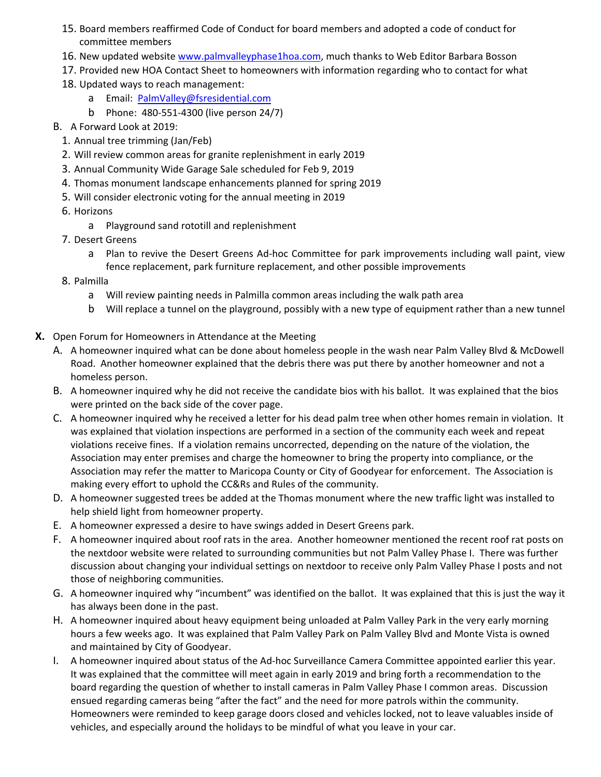- 15. Board members reaffirmed Code of Conduct for board members and adopted a code of conduct for committee members
- 16. New updated website www.palmvalleyphase1hoa.com, much thanks to Web Editor Barbara Bosson
- 17. Provided new HOA Contact Sheet to homeowners with information regarding who to contact for what
- 18. Updated ways to reach management:
	- a Email: PalmValley@fsresidential.com
	- b Phone: 480‐551‐4300 (live person 24/7)
- B. A Forward Look at 2019:
	- 1. Annual tree trimming (Jan/Feb)
	- 2. Will review common areas for granite replenishment in early 2019
	- 3. Annual Community Wide Garage Sale scheduled for Feb 9, 2019
	- 4. Thomas monument landscape enhancements planned for spring 2019
	- 5. Will consider electronic voting for the annual meeting in 2019
	- 6. Horizons
		- a Playground sand rototill and replenishment
	- 7. Desert Greens
		- a Plan to revive the Desert Greens Ad-hoc Committee for park improvements including wall paint, view fence replacement, park furniture replacement, and other possible improvements
	- 8. Palmilla
		- a Will review painting needs in Palmilla common areas including the walk path area
		- b Will replace a tunnel on the playground, possibly with a new type of equipment rather than a new tunnel
- **X.** Open Forum for Homeowners in Attendance at the Meeting
	- A. A homeowner inquired what can be done about homeless people in the wash near Palm Valley Blvd & McDowell Road. Another homeowner explained that the debris there was put there by another homeowner and not a homeless person.
	- B. A homeowner inquired why he did not receive the candidate bios with his ballot. It was explained that the bios were printed on the back side of the cover page.
	- C. A homeowner inquired why he received a letter for his dead palm tree when other homes remain in violation. It was explained that violation inspections are performed in a section of the community each week and repeat violations receive fines. If a violation remains uncorrected, depending on the nature of the violation, the Association may enter premises and charge the homeowner to bring the property into compliance, or the Association may refer the matter to Maricopa County or City of Goodyear for enforcement. The Association is making every effort to uphold the CC&Rs and Rules of the community.
	- D. A homeowner suggested trees be added at the Thomas monument where the new traffic light was installed to help shield light from homeowner property.
	- E. A homeowner expressed a desire to have swings added in Desert Greens park.
	- F. A homeowner inquired about roof rats in the area. Another homeowner mentioned the recent roof rat posts on the nextdoor website were related to surrounding communities but not Palm Valley Phase I. There was further discussion about changing your individual settings on nextdoor to receive only Palm Valley Phase I posts and not those of neighboring communities.
	- G. A homeowner inquired why "incumbent" was identified on the ballot. It was explained that this is just the way it has always been done in the past.
	- H. A homeowner inquired about heavy equipment being unloaded at Palm Valley Park in the very early morning hours a few weeks ago. It was explained that Palm Valley Park on Palm Valley Blvd and Monte Vista is owned and maintained by City of Goodyear.
	- I. A homeowner inquired about status of the Ad‐hoc Surveillance Camera Committee appointed earlier this year. It was explained that the committee will meet again in early 2019 and bring forth a recommendation to the board regarding the question of whether to install cameras in Palm Valley Phase I common areas. Discussion ensued regarding cameras being "after the fact" and the need for more patrols within the community. Homeowners were reminded to keep garage doors closed and vehicles locked, not to leave valuables inside of vehicles, and especially around the holidays to be mindful of what you leave in your car.